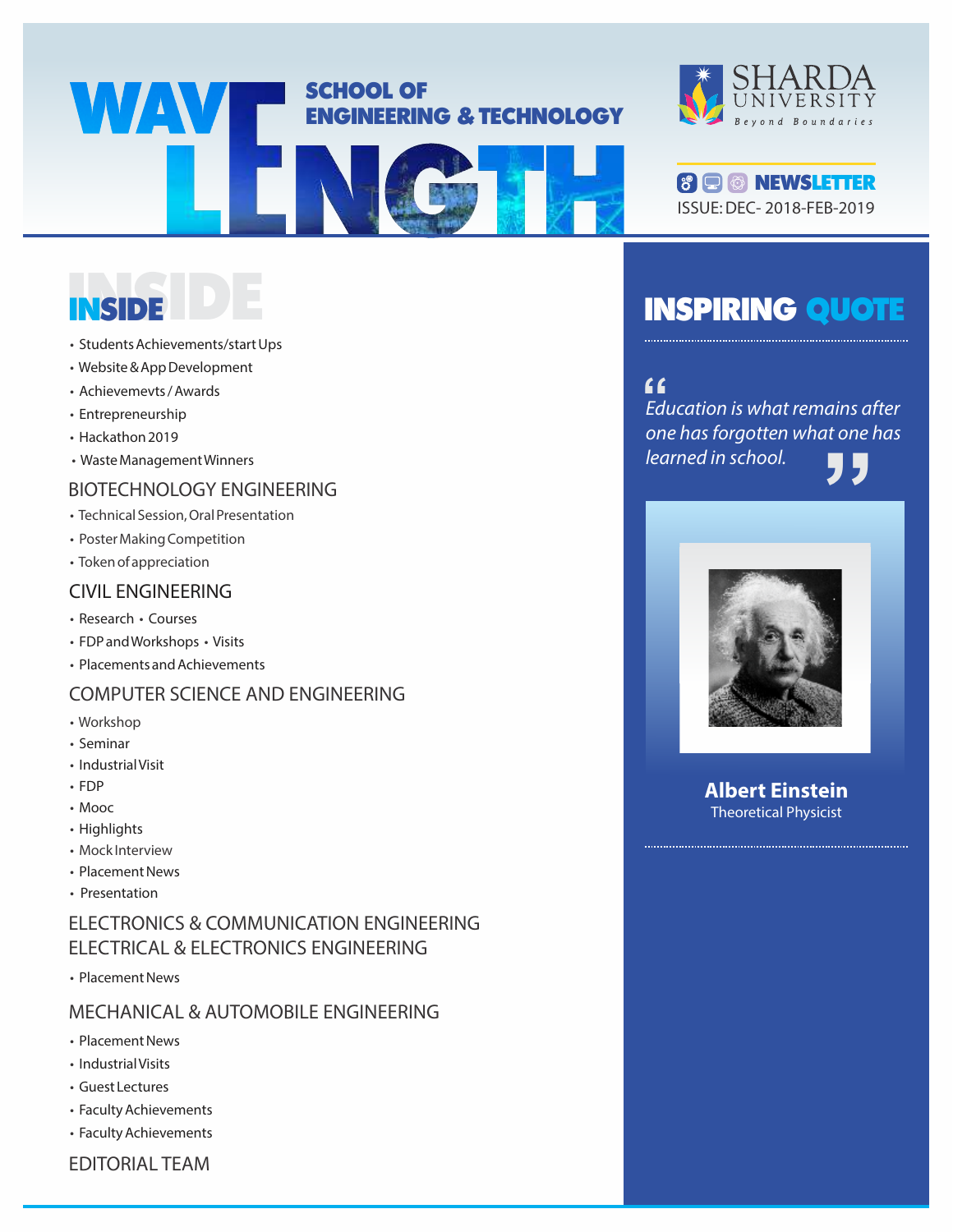



# **NSIDE**

- Students Achievements/start Ups
- Website & App Development
- Achievemevts / Awards
- Entrepreneurship
- Hackathon 2019
- Waste Management Winners

### BIOTECHNOLOGY ENGINEERING

- Technical Session, Oral Presentation
- Poster Making Competition
- Token of appreciation

### CIVIL ENGINEERING

- Research Courses
- FDP and Workshops Visits
- Placements and Achievements

### COMPUTER SCIENCE AND ENGINEERING

- Workshop
- Seminar
- Industrial Visit
- FDP
- Mooc
- Highlights
- Mock Interview
- Placement News
- Presentation

ELECTRONICS & COMMUNICATION ENGINEERING ELECTRICAL & ELECTRONICS ENGINEERING

• Placement News

### MECHANICAL & AUTOMOBILE ENGINEERING

- Placement News
- Industrial Visits
- Guest Lectures
- Faculty Achievements
- Faculty Achievements

EDITORIAL TEAM

### ISSUE: DEC- 2018-FEB-2019 8 Q & NEWSLETTER

## INSPIRING QUOTE

Education is what remains after **"** one has forgotten what one has learned in school. ains atter<br>t one has<br>7 7



**Albert Einstein** Theoretical Physicist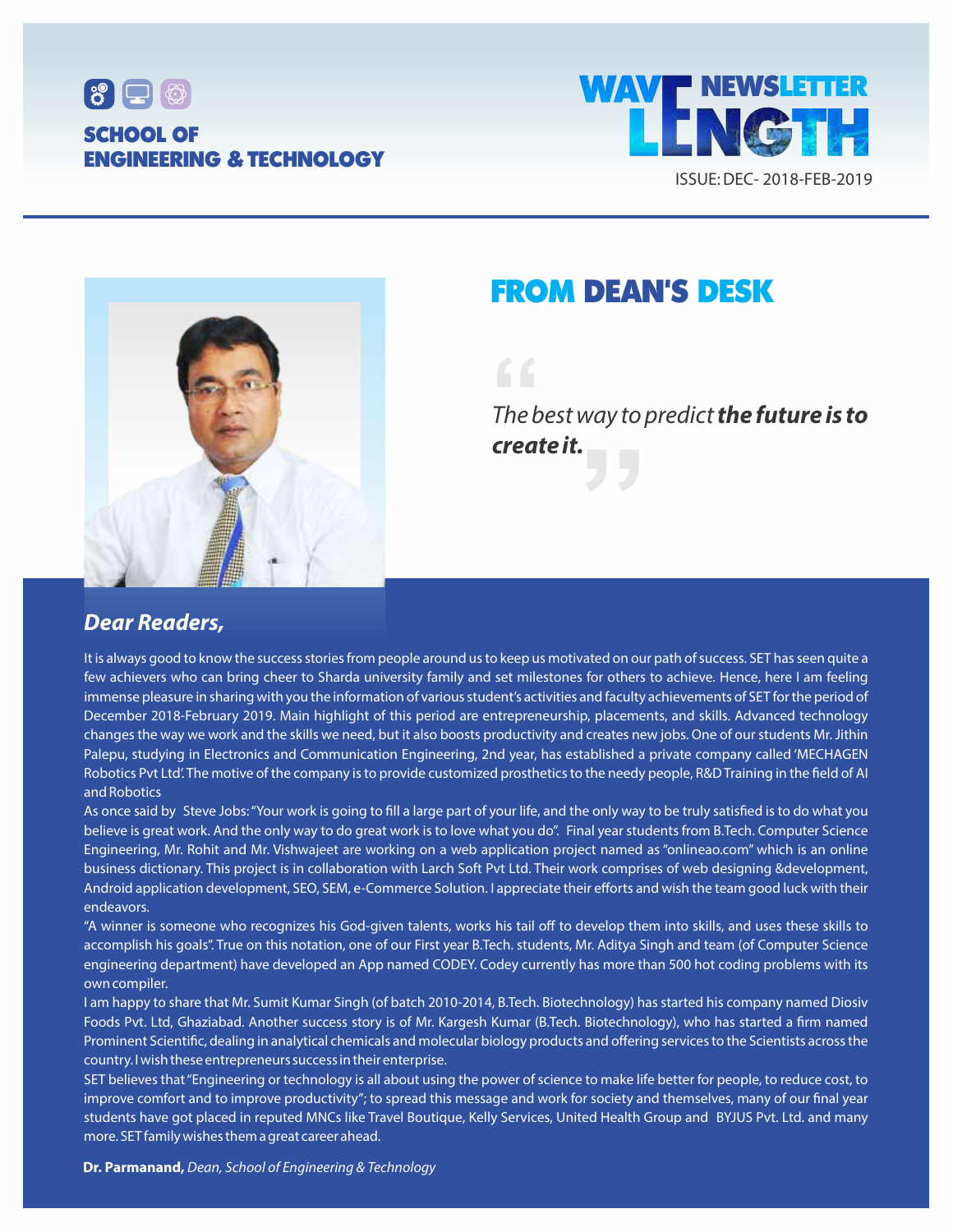





## FROM DEAN'S DESK

The best way to predict **the future is to create it. f**<br>The b<br>**crea** vay to predict<br>J

### **Dear Readers,**

It is always good to know the success stories from people around us to keep us motivated on our path of success. SET has seen quite a few achievers who can bring cheer to Sharda university family and set milestones for others to achieve. Hence, here I am feeling immense pleasure in sharing with you the information of various student's activities and faculty achievements of SET for the period of December 2018-February 2019. Main highlight of this period are entrepreneurship, placements, and skills. Advanced technology changes the way we work and the skills we need, but it also boosts productivity and creates new jobs. One of our students Mr. Jithin Palepu, studying in Electronics and Communication Engineering, 2nd year, has established a private company called 'MECHAGEN Robotics Pvt Ltd'. The motive of the company is to provide customized prosthetics to the needy people, R&D Training in the field of AI and Robotics

As once said by Steve Jobs: "Your work is going to fill a large part of your life, and the only way to be truly satisfied is to do what you believe is great work. And the only way to do great work is to love what you do". Final year students from B.Tech. Computer Science Engineering, Mr. Rohit and Mr. Vishwajeet are working on a web application project named as "onlineao.com" which is an online business dictionary. This project is in collaboration with Larch Soft Pvt Ltd. Their work comprises of web designing &development, Android application development, SEO, SEM, e-Commerce Solution. I appreciate their efforts and wish the team good luck with their endeavors.

"A winner is someone who recognizes his God-given talents, works his tail off to develop them into skills, and uses these skills to accomplish his goals". True on this notation, one of our First year B.Tech. students, Mr. Aditya Singh and team (of Computer Science engineering department) have developed an App named CODEY. Codey currently has more than 500 hot coding problems with its own compiler.

I am happy to share that Mr. Sumit Kumar Singh (of batch 2010-2014, B.Tech. Biotechnology) has started his company named Diosiv Foods Pvt. Ltd, Ghaziabad. Another success story is of Mr. Kargesh Kumar (B.Tech. Biotechnology), who has started a firm named Prominent Scientific, dealing in analytical chemicals and molecular biology products and offering services to the Scientists across the country. I wish these entrepreneurs success in their enterprise.

SET believes that "Engineering or technology is all about using the power of science to make life better for people, to reduce cost, to improve comfort and to improve productivity"; to spread this message and work for society and themselves, many of our final year students have got placed in reputed MNCs like Travel Boutique, Kelly Services, United Health Group and BYJUS Pvt. Ltd. and many more. SET family wishes them a great career ahead.

**Dr. Parmanand,** Dean, School of Engineering & Technology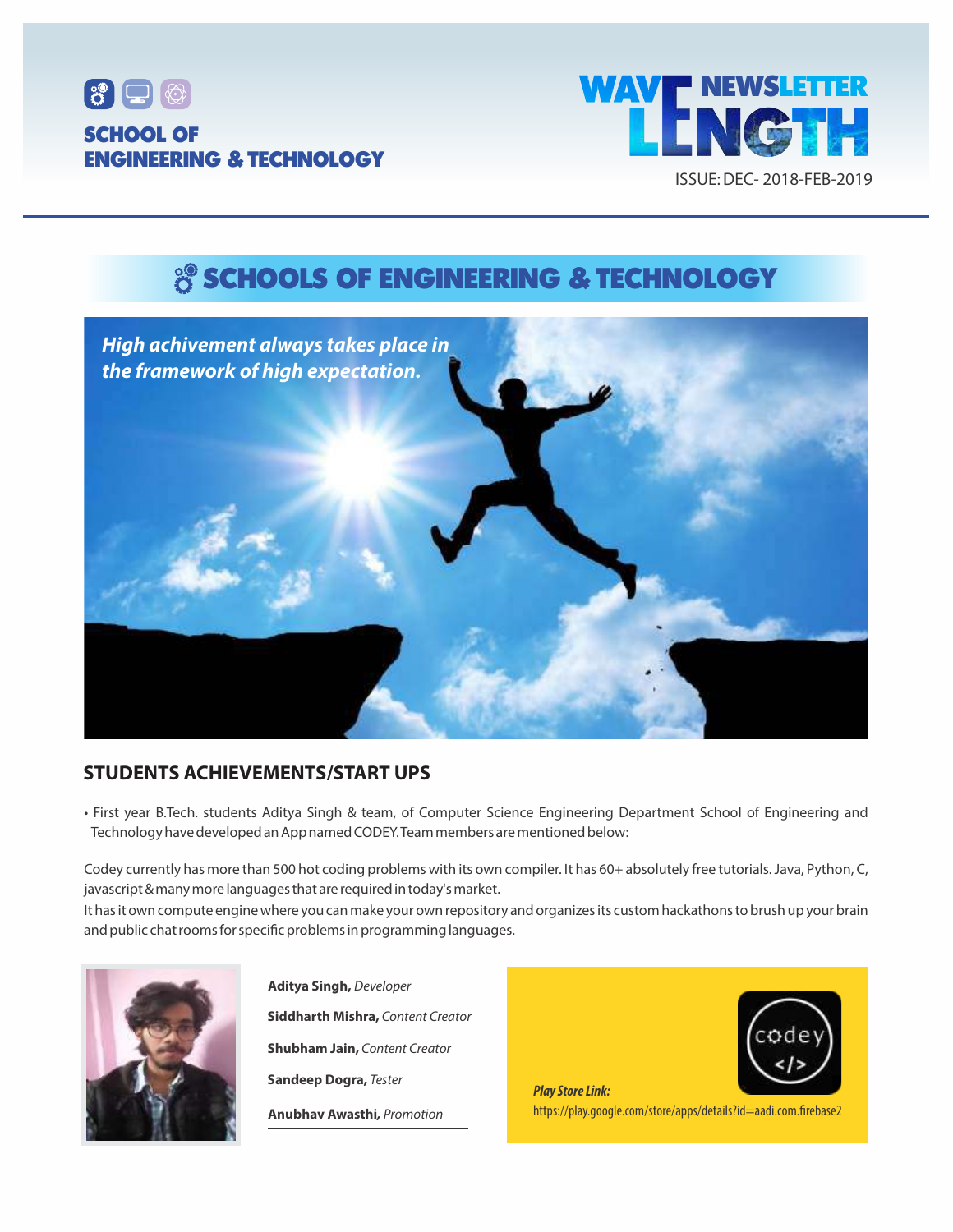



## **SCHOOLS OF ENGINEERING & TECHNOLOGY**



### **STUDENTS ACHIEVEMENTS/START UPS**

• First year B.Tech. students Aditya Singh & team, of Computer Science Engineering Department School of Engineering and Technology have developed an App named CODEY. Team members are mentioned below:

Codey currently has more than 500 hot coding problems with its own compiler. It has 60+ absolutely free tutorials. Java, Python, C, javascript & many more languages that are required in today's market.

It has it own compute engine where you can make your own repository and organizes its custom hackathons to brush up your brain and public chat rooms for specific problems in programming languages.



**Aditya Singh,** Developer

**Siddharth Mishra,** Content Creator

**Shubham Jain,** Content Creator

**Sandeep Dogra,** Tester

**Anubhav Awasthi,** Promotion



**Play Store Link:** https://play.google.com/store/apps/details?id=aadi.com.firebase2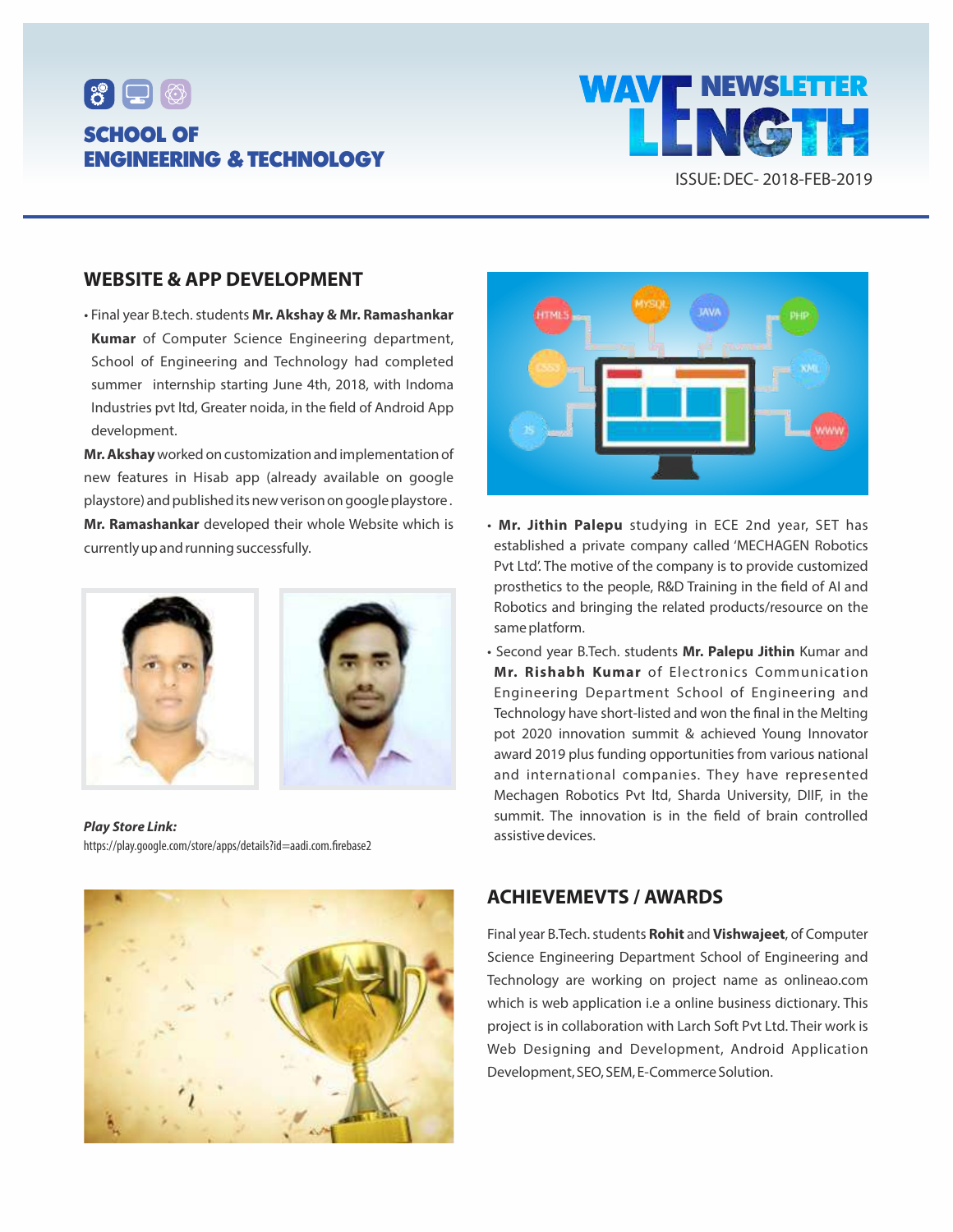



### **WEBSITE & APP DEVELOPMENT**

• Final year B.tech. students **Mr. Akshay & Mr. Ramashankar Kumar** of Computer Science Engineering department, School of Engineering and Technology had completed summer internship starting June 4th, 2018, with Indoma Industries pvt ltd, Greater noida, in the field of Android App development.

**Mr. Akshay**worked on customization and implementation of new features in Hisab app (already available on google playstore) and published its new verison on google playstore . **Mr. Ramashankar** developed their whole Website which is currently up and running successfully.



**Play Store Link:** https://play.google.com/store/apps/details?id=aadi.com.firebase2





- **Mr. Jithin Palepu** studying in ECE 2nd year, SET has established a private company called 'MECHAGEN Robotics Pvt Ltd'. The motive of the company is to provide customized prosthetics to the people, R&D Training in the field of AI and Robotics and bringing the related products/resource on the same platform.
- Second year B.Tech. students **Mr. Palepu Jithin** Kumar and **Mr. Rishabh Kumar** of Electronics Communication Engineering Department School of Engineering and Technology have short-listed and won the final in the Melting pot 2020 innovation summit & achieved Young Innovator award 2019 plus funding opportunities from various national and international companies. They have represented Mechagen Robotics Pvt ltd, Sharda University, DIIF, in the summit. The innovation is in the field of brain controlled assistive devices.

### **ACHIEVEMEVTS / AWARDS**

Final year B.Tech. students **Rohit** and **Vishwajeet**, of Computer Science Engineering Department School of Engineering and Technology are working on project name as onlineao.com which is web application i.e a online business dictionary. This project is in collaboration with Larch Soft Pvt Ltd. Their work is Web Designing and Development, Android Application Development, SEO, SEM, E-Commerce Solution.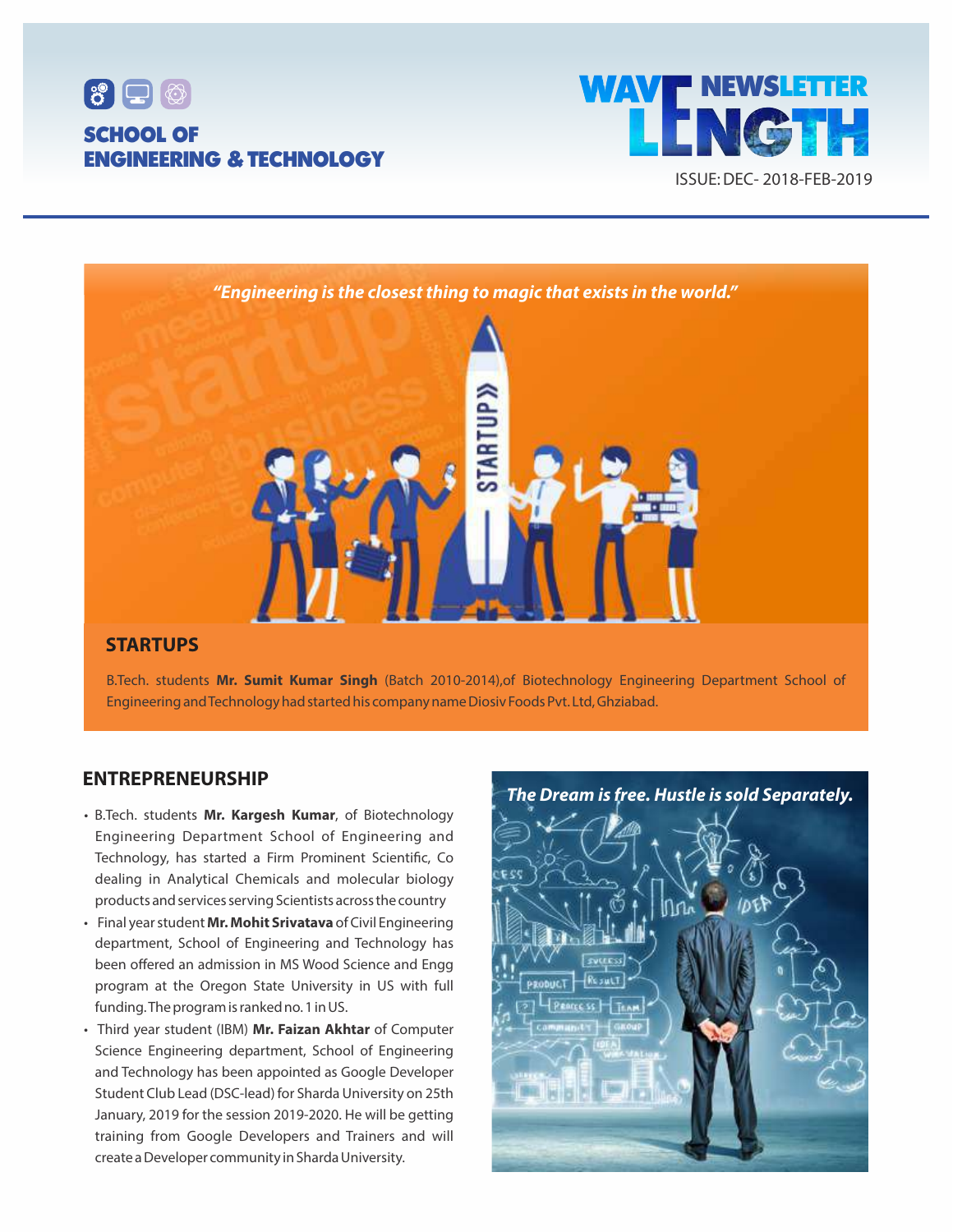





### **STARTUPS**

B.Tech. students **Mr. Sumit Kumar Singh** (Batch 2010-2014),of Biotechnology Engineering Department School of Engineering and Technology had started his company name Diosiv Foods Pvt. Ltd, Ghziabad.

### **ENTREPRENEURSHIP**

- B.Tech. students **Mr. Kargesh Kumar**, of Biotechnology Engineering Department School of Engineering and Technology, has started a Firm Prominent Scientific, Co dealing in Analytical Chemicals and molecular biology products and services serving Scientists across the country
- Final year student **Mr. Mohit Srivatava** of Civil Engineering department, School of Engineering and Technology has been offered an admission in MS Wood Science and Engg program at the Oregon State University in US with full funding. The program is ranked no. 1 in US.
- Third year student (IBM) **Mr. Faizan Akhtar** of Computer Science Engineering department, School of Engineering and Technology has been appointed as Google Developer Student Club Lead (DSC-lead) for Sharda University on 25th January, 2019 for the session 2019-2020. He will be getting training from Google Developers and Trainers and will create a Developer community in Sharda University.

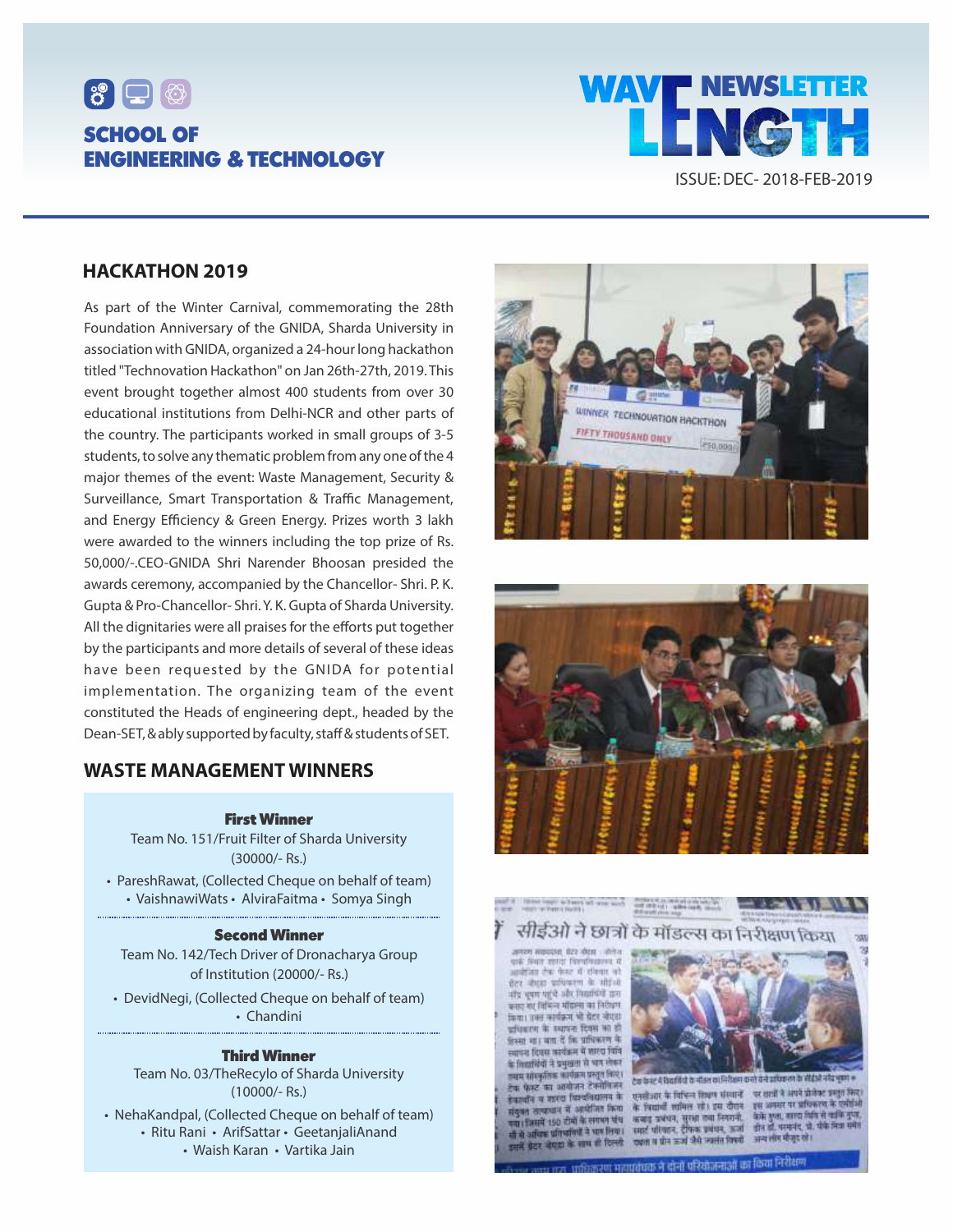



### **HACKATHON 2019**

As part of the Winter Carnival, commemorating the 28th Foundation Anniversary of the GNIDA, Sharda University in association with GNIDA, organized a 24-hour long hackathon titled "Technovation Hackathon" on Jan 26th-27th, 2019. This event brought together almost 400 students from over 30 educational institutions from Delhi-NCR and other parts of the country. The participants worked in small groups of 3-5 students, to solve any thematic problem from any one of the 4 major themes of the event: Waste Management, Security & Surveillance, Smart Transportation & Traffic Management, and Energy Efficiency & Green Energy. Prizes worth 3 lakh were awarded to the winners including the top prize of Rs. 50,000/-.CEO-GNIDA Shri Narender Bhoosan presided the awards ceremony, accompanied by the Chancellor- Shri. P. K. Gupta & Pro-Chancellor- Shri. Y. K. Gupta of Sharda University. All the dignitaries were all praises for the efforts put together by the participants and more details of several of these ideas have been requested by the GNIDA for potential implementation. The organizing team of the event constituted the Heads of engineering dept., headed by the Dean-SET, & ably supported by faculty, staff & students of SET.

### **WASTE MANAGEMENT WINNERS**

#### First Winner

Team No. 151/Fruit Filter of Sharda University (30000/- Rs.)

• PareshRawat, (Collected Cheque on behalf of team) • VaishnawiWats • AlviraFaitma • Somya Singh

### Second Winner

Team No. 142/Tech Driver of Dronacharya Group of Institution (20000/- Rs.)

• DevidNegi, (Collected Cheque on behalf of team) • Chandini

#### Third Winner

Team No. 03/TheRecylo of Sharda University (10000/- Rs.)

• NehaKandpal, (Collected Cheque on behalf of team) • Ritu Rani • ArifSattar • GeetanjaliAnand • Waish Karan • Vartika Jain





## $\frac{1}{2} \left( \frac{1}{2} \right) \left( \frac{1}{2} \right) \left( \frac{1}{2} \right) \left( \frac{1}{2} \right) \left( \frac{1}{2} \right) \left( \frac{1}{2} \right) \left( \frac{1}{2} \right) \left( \frac{1}{2} \right) \left( \frac{1}{2} \right) \left( \frac{1}{2} \right) \left( \frac{1}{2} \right) \left( \frac{1}{2} \right) \left( \frac{1}{2} \right) \left( \frac{1}{2} \right) \left( \frac{1}{2} \right) \left( \frac{1}{2} \right) \left( \frac$

जानेश विश्वविद्या andrian the door of clients wh der den uftram in alfab ally you with also fourfield are क्रमण गए विभिन्न मौक्रम्मा का निरीधान किया। उनते कार्यक्रम भी ग्रेटर नौएंडा प्रामिकारण के स्थापना दिवस को ही<br>किस्सा साथ कहा दें कि प्रामिकारण के स्थापना दिवस कार्यक्रम में भारदा चिनि के विद्यापियों ने प्रमुखता से भाग लेकर तमस्य स्वीस्फुर्तिष्ठाः अवर्णक्रम् प्रस्तुत् किन्द्र। पेस्ट का अरबीजन टेक्सीवजन डेवावॉन व शारदा विश्वविद्यालय के तत्पाचन में अमेरिता किया (जिसमें 150 टीमों के लगभग पांच सी से ऑस्ट्रेड प्रतिप्रतियों ने भाष लिया। ams at forest



प्लान का मानना रहे। इस दौरान - इस अवसर पर प्राप्तकारम के दलों में<br>के कहा अथवन, सुरक्षा तथा निवरानी - केके गुला, सारदा चित्रि से काफि वृत्ता,<br>स्मार्ट प्रशिवार- टैफिक प्रवधन, ऊर्जा - इंसि हो, मरकांद, से, पेके लिश मर्मन द्यात व प्रेम ऊर्ज जैसे जातीत विक्रमें

अन्य लोग में तुर रहे।

प्रवेधक ने दोनों परियोजनाओं का किया निरीक्षण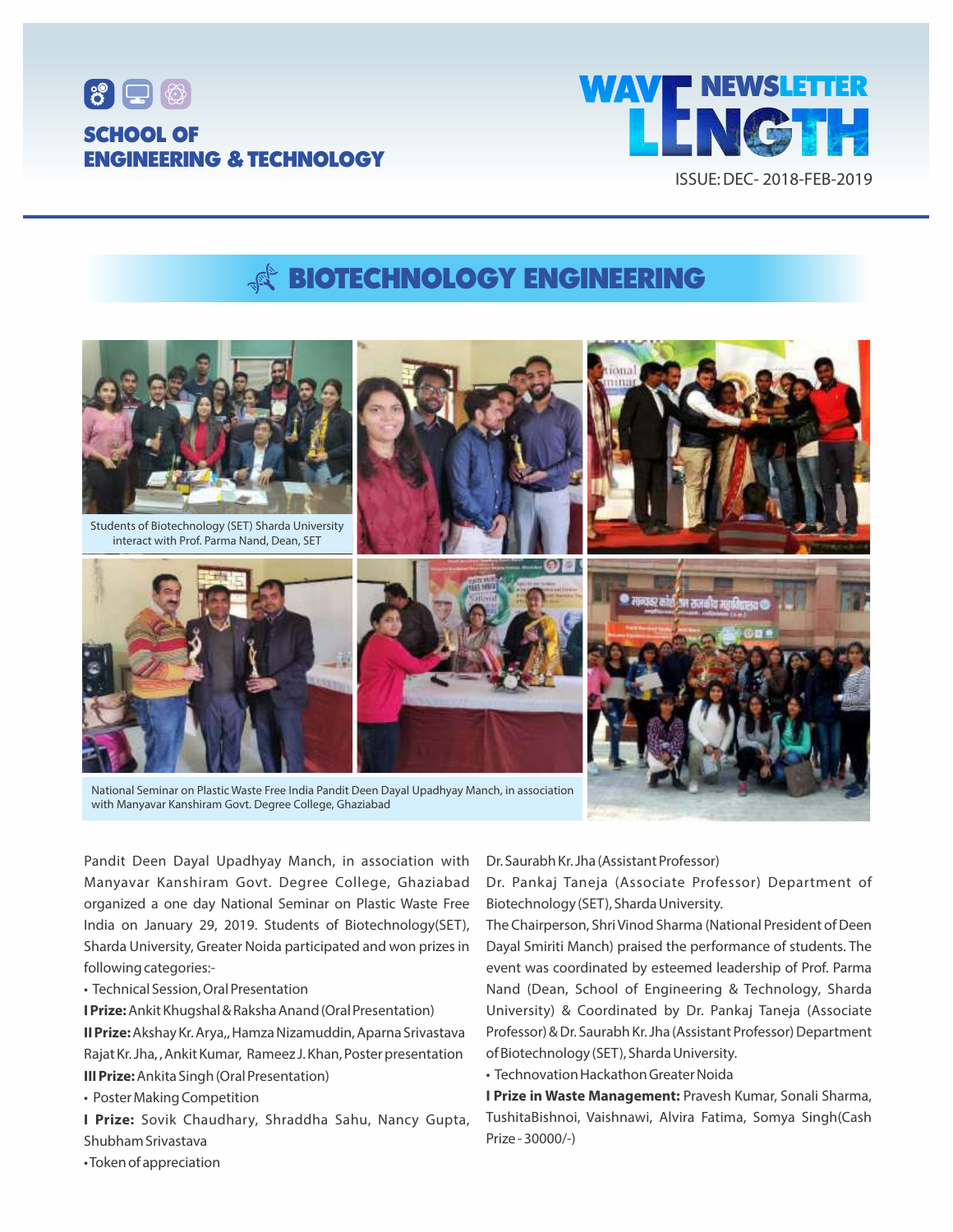



## **READDREGHABIOGY ENGINEERING**



with Manyavar Kanshiram Govt. Degree College, Ghaziabad

Pandit Deen Dayal Upadhyay Manch, in association with Manyavar Kanshiram Govt. Degree College, Ghaziabad organized a one day National Seminar on Plastic Waste Free India on January 29, 2019. Students of Biotechnology(SET), Sharda University, Greater Noida participated and won prizes in following categories:-

• Technical Session, Oral Presentation

**I Prize:** Ankit Khugshal & Raksha Anand (Oral Presentation)

**II Prize:**Akshay Kr. Arya,, Hamza Nizamuddin, Aparna Srivastava Rajat Kr. Jha, , Ankit Kumar, Rameez J. Khan, Poster presentation **III Prize:**Ankita Singh (Oral Presentation)

• Poster Making Competition

**I Prize:** Sovik Chaudhary, Shraddha Sahu, Nancy Gupta, Shubham Srivastava

Dr. Saurabh Kr. Jha (Assistant Professor)

Dr. Pankaj Taneja (Associate Professor) Department of Biotechnology (SET), Sharda University.

The Chairperson, Shri Vinod Sharma (National President of Deen Dayal Smiriti Manch) praised the performance of students. The event was coordinated by esteemed leadership of Prof. Parma Nand (Dean, School of Engineering & Technology, Sharda University) & Coordinated by Dr. Pankaj Taneja (Associate Professor) & Dr. Saurabh Kr. Jha (Assistant Professor) Department of Biotechnology (SET), Sharda University.

• Technovation Hackathon Greater Noida

**I Prize in Waste Management:** Pravesh Kumar, Sonali Sharma, TushitaBishnoi, Vaishnawi, Alvira Fatima, Somya Singh(Cash Prize - 30000/-)

• Token of appreciation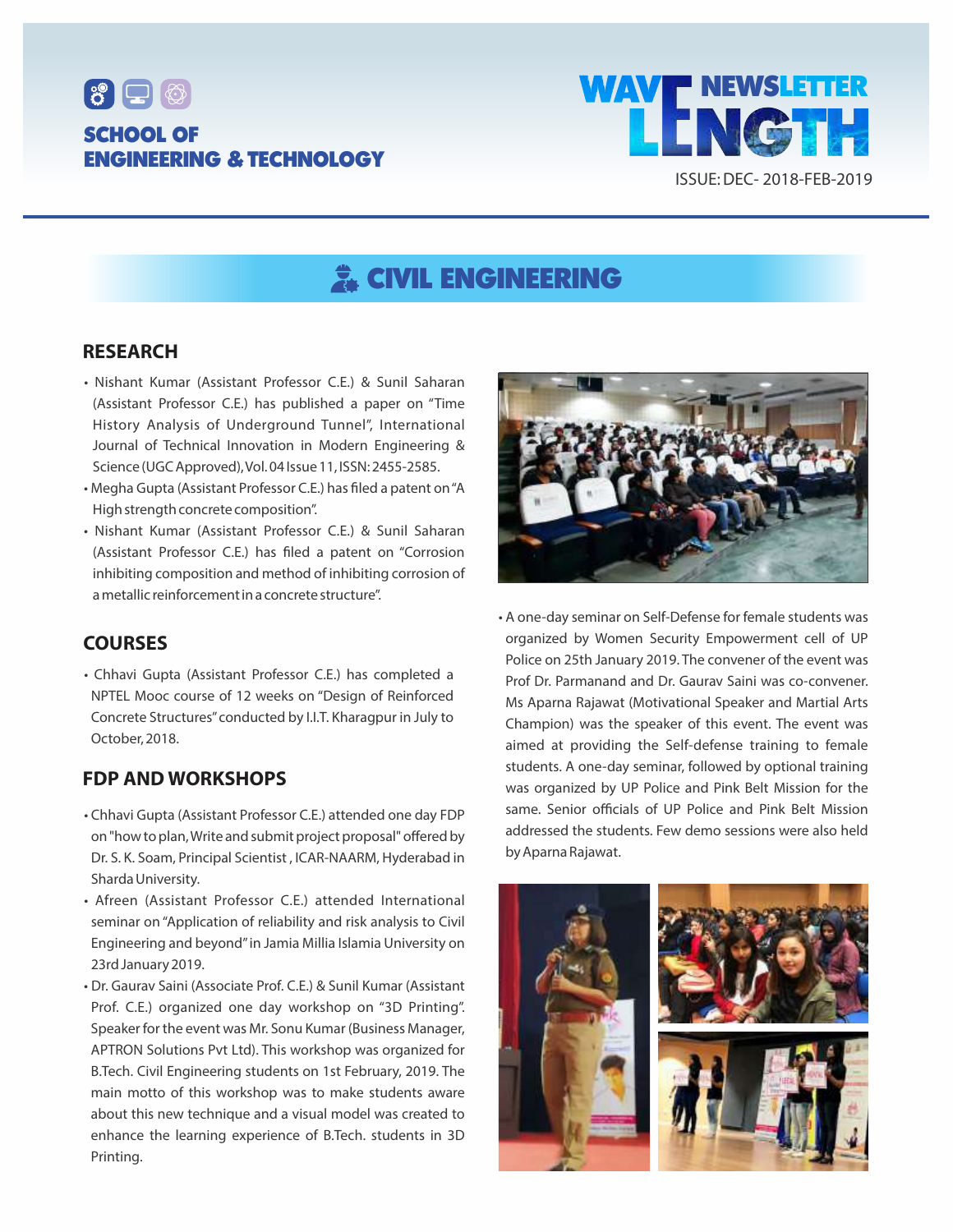



## **A** CIVIL ENGINEERING

### **RESEARCH**

- Nishant Kumar (Assistant Professor C.E.) & Sunil Saharan (Assistant Professor C.E.) has published a paper on "Time History Analysis of Underground Tunnel", International Journal of Technical Innovation in Modern Engineering & Science (UGC Approved), Vol. 04 Issue 11, ISSN: 2455-2585.
- Megha Gupta (Assistant Professor C.E.) has filed a patent on "A High strength concrete composition".
- Nishant Kumar (Assistant Professor C.E.) & Sunil Saharan (Assistant Professor C.E.) has filed a patent on "Corrosion inhibiting composition and method of inhibiting corrosion of a metallic reinforcement in a concrete structure".

### **COURSES**

• Chhavi Gupta (Assistant Professor C.E.) has completed a NPTEL Mooc course of 12 weeks on "Design of Reinforced Concrete Structures"conducted by I.I.T. Kharagpur in July to October, 2018.

### **FDP AND WORKSHOPS**

- Chhavi Gupta (Assistant Professor C.E.) attended one day FDP on "how to plan, Write and submit project proposal" offered by Dr. S. K. Soam, Principal Scientist , ICAR-NAARM, Hyderabad in Sharda University.
- Afreen (Assistant Professor C.E.) attended International seminar on "Application of reliability and risk analysis to Civil Engineering and beyond"in Jamia Millia Islamia University on 23rd January 2019.
- Dr. Gaurav Saini (Associate Prof. C.E.) & Sunil Kumar (Assistant Prof. C.E.) organized one day workshop on "3D Printing". Speaker for the event was Mr. Sonu Kumar (Business Manager, APTRON Solutions Pvt Ltd). This workshop was organized for B.Tech. Civil Engineering students on 1st February, 2019. The main motto of this workshop was to make students aware about this new technique and a visual model was created to enhance the learning experience of B.Tech. students in 3D Printing.



• A one-day seminar on Self-Defense for female students was organized by Women Security Empowerment cell of UP Police on 25th January 2019. The convener of the event was Prof Dr. Parmanand and Dr. Gaurav Saini was co-convener. Ms Aparna Rajawat (Motivational Speaker and Martial Arts Champion) was the speaker of this event. The event was aimed at providing the Self-defense training to female students. A one-day seminar, followed by optional training was organized by UP Police and Pink Belt Mission for the same. Senior officials of UP Police and Pink Belt Mission addressed the students. Few demo sessions were also held by Aparna Rajawat.

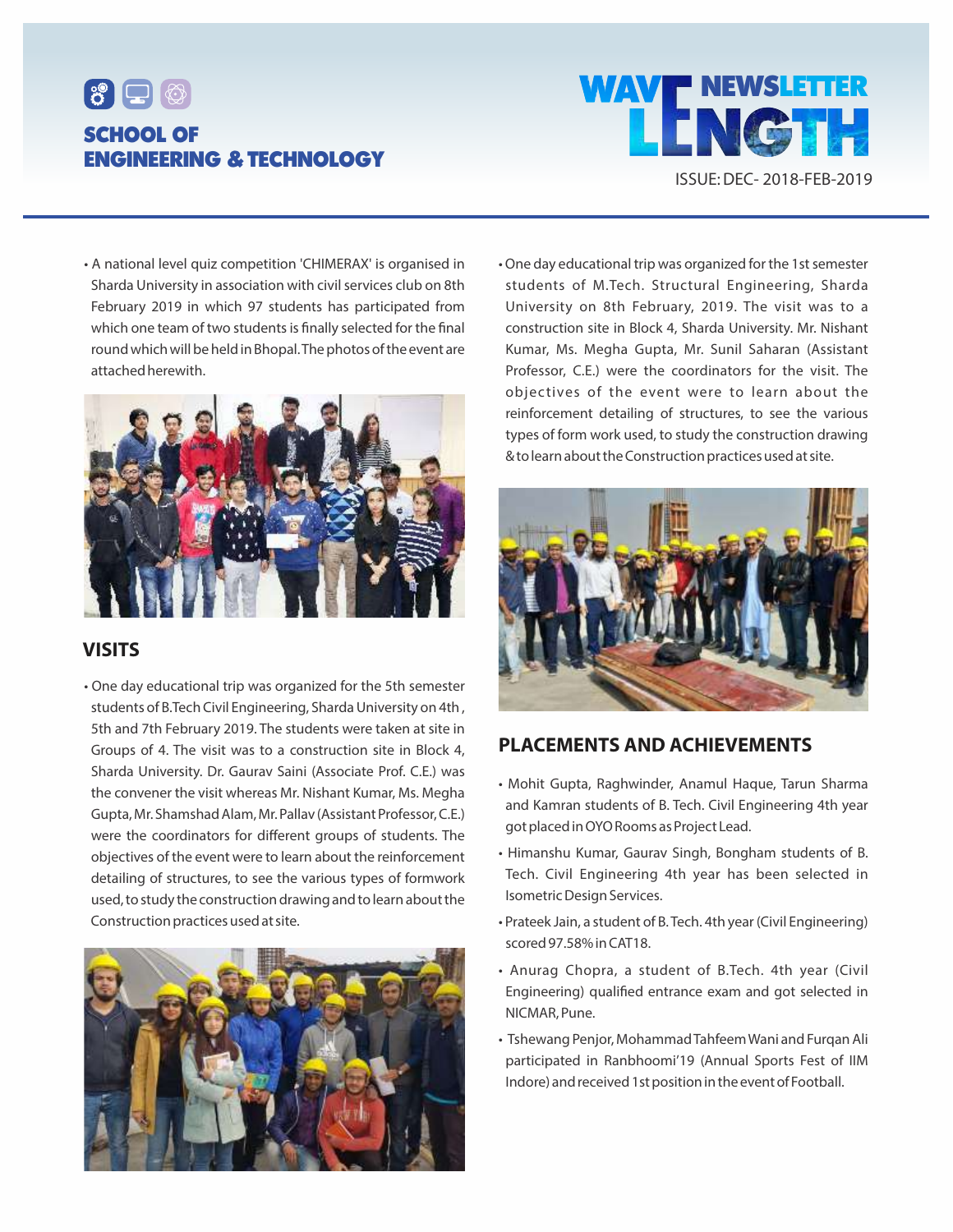



• A national level quiz competition 'CHIMERAX' is organised in Sharda University in association with civil services club on 8th February 2019 in which 97 students has participated from which one team of two students is finally selected for the final round which will be held in Bhopal. The photos of the event are attached herewith.



### **VISITS**

• One day educational trip was organized for the 5th semester students of B.Tech Civil Engineering, Sharda University on 4th , 5th and 7th February 2019. The students were taken at site in Groups of 4. The visit was to a construction site in Block 4, Sharda University. Dr. Gaurav Saini (Associate Prof. C.E.) was the convener the visit whereas Mr. Nishant Kumar, Ms. Megha Gupta, Mr. Shamshad Alam, Mr. Pallav (Assistant Professor, C.E.) were the coordinators for different groups of students. The objectives of the event were to learn about the reinforcement detailing of structures, to see the various types of formwork used, to study the construction drawing and to learn about the Construction practices used at site.



• One day educational trip was organized for the 1st semester students of M.Tech. Structural Engineering, Sharda University on 8th February, 2019. The visit was to a construction site in Block 4, Sharda University. Mr. Nishant Kumar, Ms. Megha Gupta, Mr. Sunil Saharan (Assistant Professor, C.E.) were the coordinators for the visit. The objectives of the event were to learn about the reinforcement detailing of structures, to see the various types of form work used, to study the construction drawing & to learn about the Construction practices used at site.



### **PLACEMENTS AND ACHIEVEMENTS**

- Mohit Gupta, Raghwinder, Anamul Haque, Tarun Sharma and Kamran students of B. Tech. Civil Engineering 4th year got placed in OYO Rooms as Project Lead.
- Himanshu Kumar, Gaurav Singh, Bongham students of B. Tech. Civil Engineering 4th year has been selected in Isometric Design Services.
- Prateek Jain, a student of B. Tech. 4th year (Civil Engineering) scored 97.58% in CAT18.
- Anurag Chopra, a student of B.Tech. 4th year (Civil Engineering) qualified entrance exam and got selected in NICMAR, Pune.
- Tshewang Penjor, Mohammad Tahfeem Wani and Furqan Ali participated in Ranbhoomi'19 (Annual Sports Fest of IIM Indore) and received 1st position in the event of Football.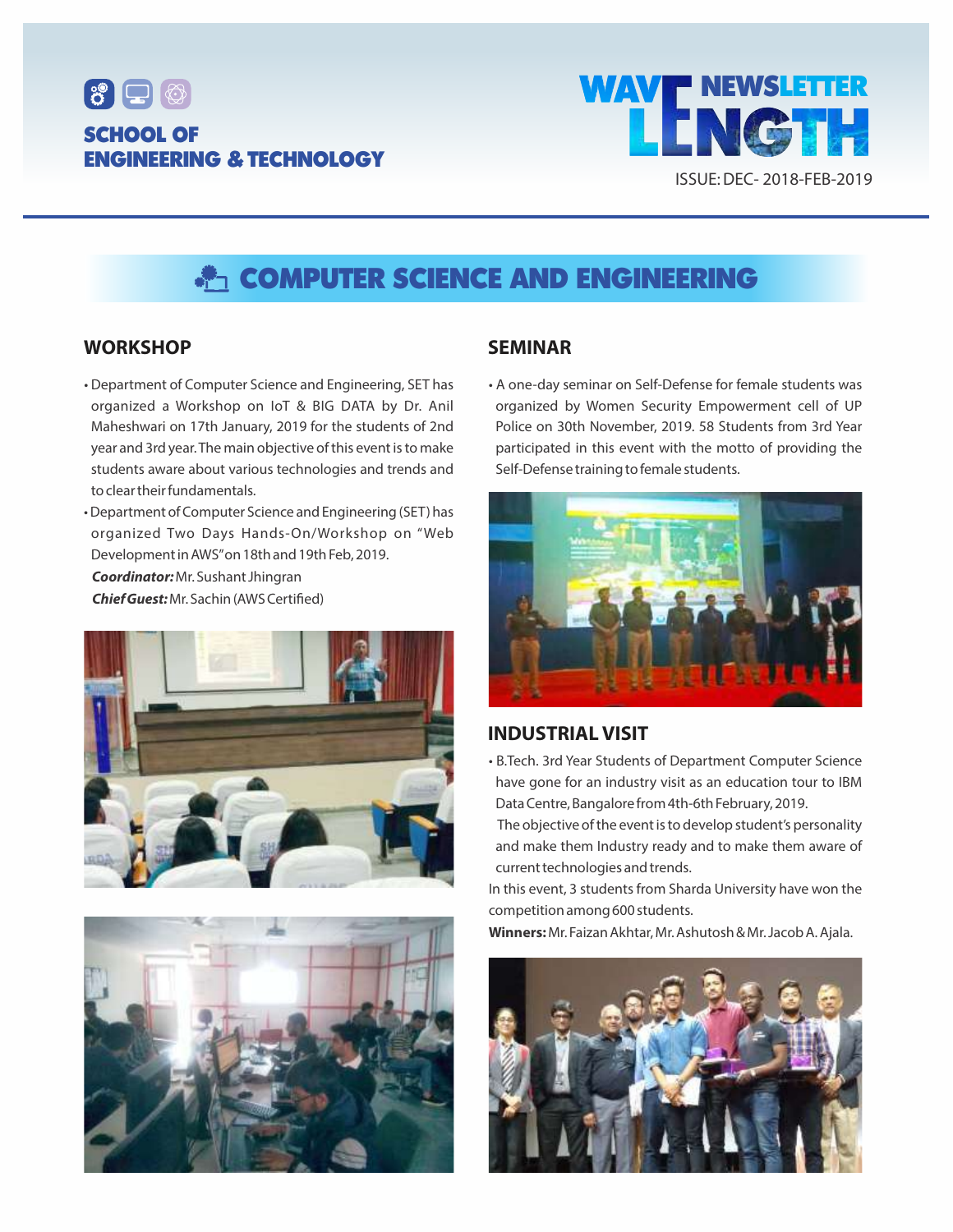



## **ALL COMPUTER SCIENCE AND ENGINEERING**

### **WORKSHOP**

- Department of Computer Science and Engineering, SET has organized a Workshop on IoT & BIG DATA by Dr. Anil Maheshwari on 17th January, 2019 for the students of 2nd year and 3rd year. The main objective of this event is to make students aware about various technologies and trends and to clear their fundamentals.
- Department of Computer Science and Engineering (SET) has organized Two Days Hands-On/Workshop on "Web Development in AWS"on 18th and 19th Feb, 2019. **Coordinator:** Mr. Sushant Jhingran Chief Guest: Mr. Sachin (AWS Certified)





### **SEMINAR**

• A one-day seminar on Self-Defense for female students was organized by Women Security Empowerment cell of UP Police on 30th November, 2019. 58 Students from 3rd Year participated in this event with the motto of providing the Self-Defense training to female students.



### **INDUSTRIAL VISIT**

• B.Tech. 3rd Year Students of Department Computer Science have gone for an industry visit as an education tour to IBM Data Centre, Bangalore from 4th-6th February, 2019.

The objective of the event is to develop student's personality and make them Industry ready and to make them aware of current technologies and trends.

In this event, 3 students from Sharda University have won the competition among 600 students.

**Winners:** Mr. Faizan Akhtar, Mr. Ashutosh & Mr. Jacob A. Ajala.

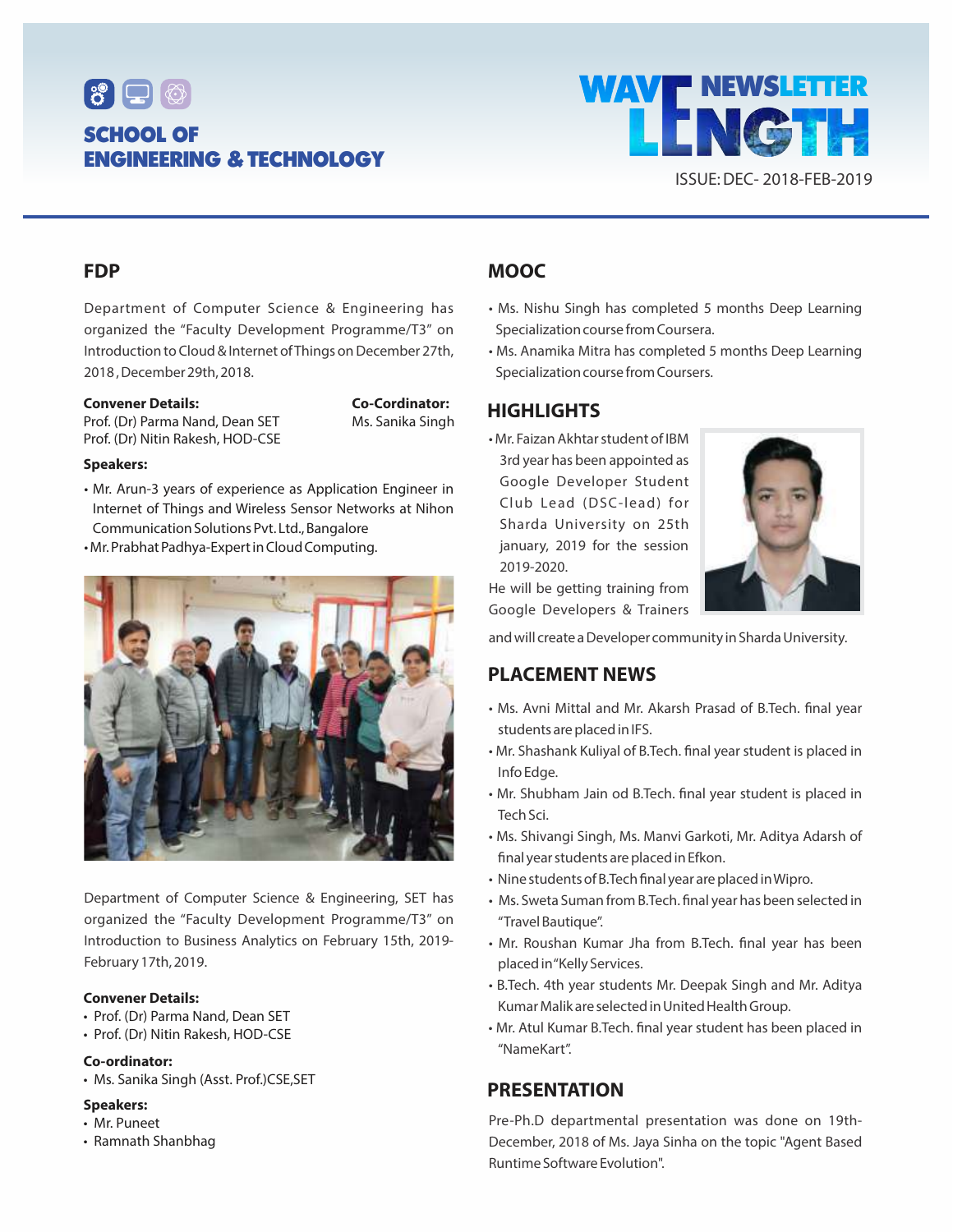



### **FDP**

Department of Computer Science & Engineering has organized the "Faculty Development Programme/T3" on Introduction to Cloud & Internet of Things on December 27th, 2018 , December 29th, 2018.

#### **Convener Details:**

Prof. (Dr) Parma Nand, Dean SET Prof. (Dr) Nitin Rakesh, HOD-CSE **Co-Cordinator:** Ms. Sanika Singh

#### **Speakers:**

- Mr. Arun-3 years of experience as Application Engineer in Internet of Things and Wireless Sensor Networks at Nihon Communication Solutions Pvt. Ltd., Bangalore
- Mr. Prabhat Padhya-Expert in Cloud Computing.



Department of Computer Science & Engineering, SET has organized the "Faculty Development Programme/T3" on Introduction to Business Analytics on February 15th, 2019- February 17th, 2019.

#### **Convener Details:**

- Prof. (Dr) Parma Nand, Dean SET
- Prof. (Dr) Nitin Rakesh, HOD-CSE

### **Co-ordinator:**

• Ms. Sanika Singh (Asst. Prof.)CSE,SET

#### **Speakers:**

- Mr. Puneet
- Ramnath Shanbhag

### **MOOC**

- Ms. Nishu Singh has completed 5 months Deep Learning Specialization course from Coursera.
- Ms. Anamika Mitra has completed 5 months Deep Learning Specialization course from Coursers.

### **HIGHLIGHTS**

• Mr. Faizan Akhtar student of IBM 3rd year has been appointed as Google Developer Student Club Lead (DSC-lead) for Sharda University on 25th january, 2019 for the session 2019-2020.



He will be getting training from Google Developers & Trainers

and will create a Developer community in Sharda University.

### **PLACEMENT NEWS**

- Ms. Avni Mittal and Mr. Akarsh Prasad of B.Tech. final year students are placed in IFS.
- Mr. Shashank Kuliyal of B.Tech. final year student is placed in Info Edge.
- Mr. Shubham Jain od B.Tech. final year student is placed in Tech Sci.
- Ms. Shivangi Singh, Ms. Manvi Garkoti, Mr. Aditya Adarsh of final year students are placed in Efkon.
- Nine students of B.Tech final year are placed in Wipro.
- Ms. Sweta Suman from B. Tech. final year has been selected in "Travel Bautique".
- Mr. Roushan Kumar Jha from B.Tech. final year has been placed in "Kelly Services.
- B.Tech. 4th year students Mr. Deepak Singh and Mr. Aditya Kumar Malik are selected in United Health Group.
- Mr. Atul Kumar B. Tech. final year student has been placed in "NameKart".

### **PRESENTATION**

Pre-Ph.D departmental presentation was done on 19th-December, 2018 of Ms. Jaya Sinha on the topic "Agent Based Runtime Software Evolution".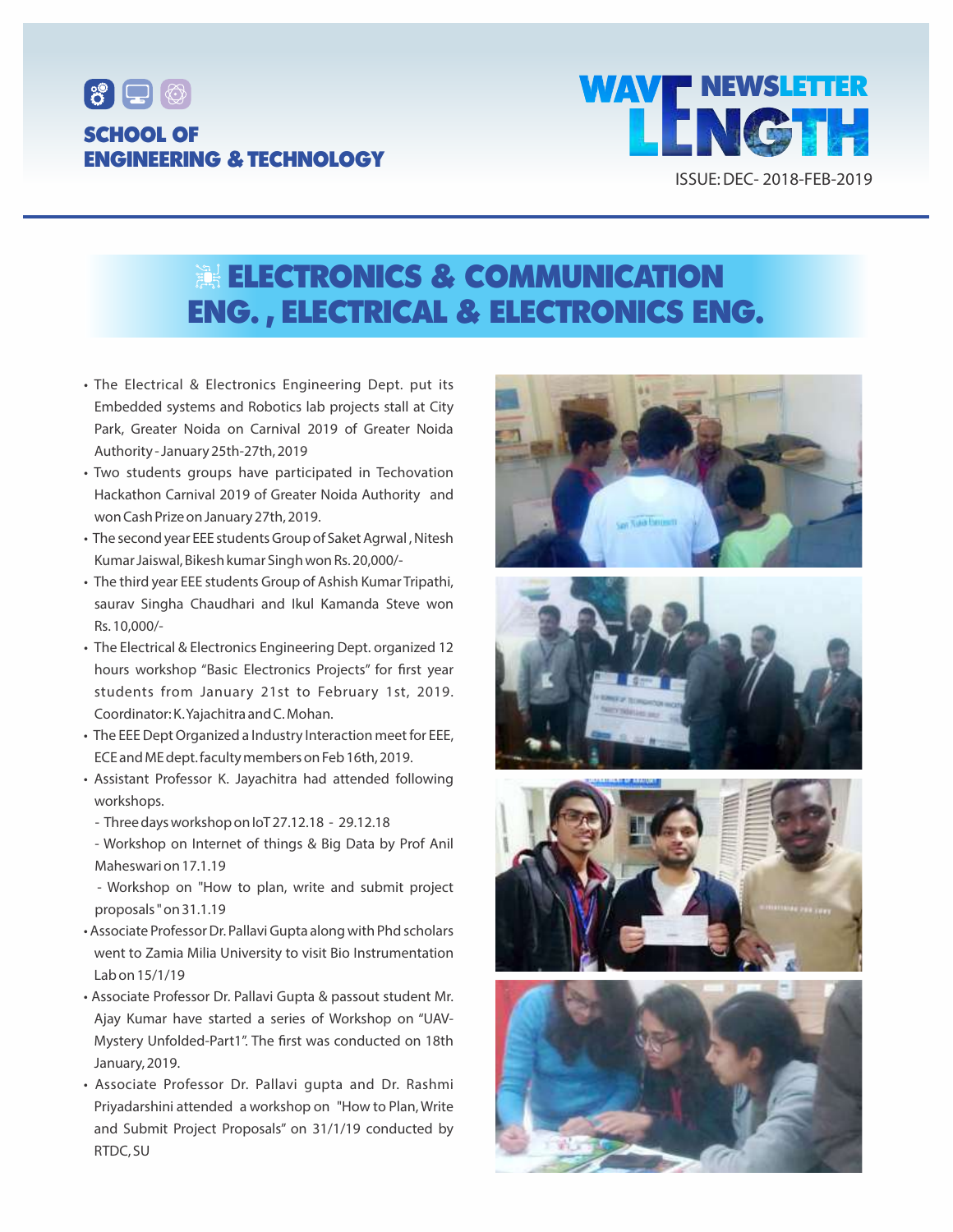



## **ELECTRONICS & COMMUNICATION** ENG. , ELECTRICAL & ELECTRONICS ENG.

- The Electrical & Electronics Engineering Dept. put its Embedded systems and Robotics lab projects stall at City Park, Greater Noida on Carnival 2019 of Greater Noida Authority - January 25th-27th, 2019
- Two students groups have participated in Techovation Hackathon Carnival 2019 of Greater Noida Authority and won Cash Prize on January 27th, 2019.
- The second year EEE students Group of Saket Agrwal , Nitesh Kumar Jaiswal, Bikesh kumar Singh won Rs. 20,000/-
- The third year EEE students Group of Ashish Kumar Tripathi, saurav Singha Chaudhari and Ikul Kamanda Steve won Rs. 10,000/-
- The Electrical & Electronics Engineering Dept. organized 12 hours workshop "Basic Electronics Projects" for first year students from January 21st to February 1st, 2019. Coordinator: K. Yajachitra and C. Mohan.
- The EEE Dept Organized a Industry Interaction meet for EEE, ECE and ME dept. faculty members on Feb 16th, 2019.
- Assistant Professor K. Jayachitra had attended following workshops.
	- Three days workshop on IoT 27.12.18 29.12.18
- Workshop on Internet of things & Big Data by Prof Anil Maheswari on 17.1.19
- Workshop on "How to plan, write and submit project proposals " on 31.1.19
- Associate Professor Dr. Pallavi Gupta along with Phd scholars went to Zamia Milia University to visit Bio Instrumentation Lab on 15/1/19
- Associate Professor Dr. Pallavi Gupta & passout student Mr. Ajay Kumar have started a series of Workshop on "UAV-Mystery Unfolded-Part1". The first was conducted on 18th January, 2019.
- Associate Professor Dr. Pallavi gupta and Dr. Rashmi Priyadarshini attended a workshop on "How to Plan, Write and Submit Project Proposals" on 31/1/19 conducted by RTDC, SU







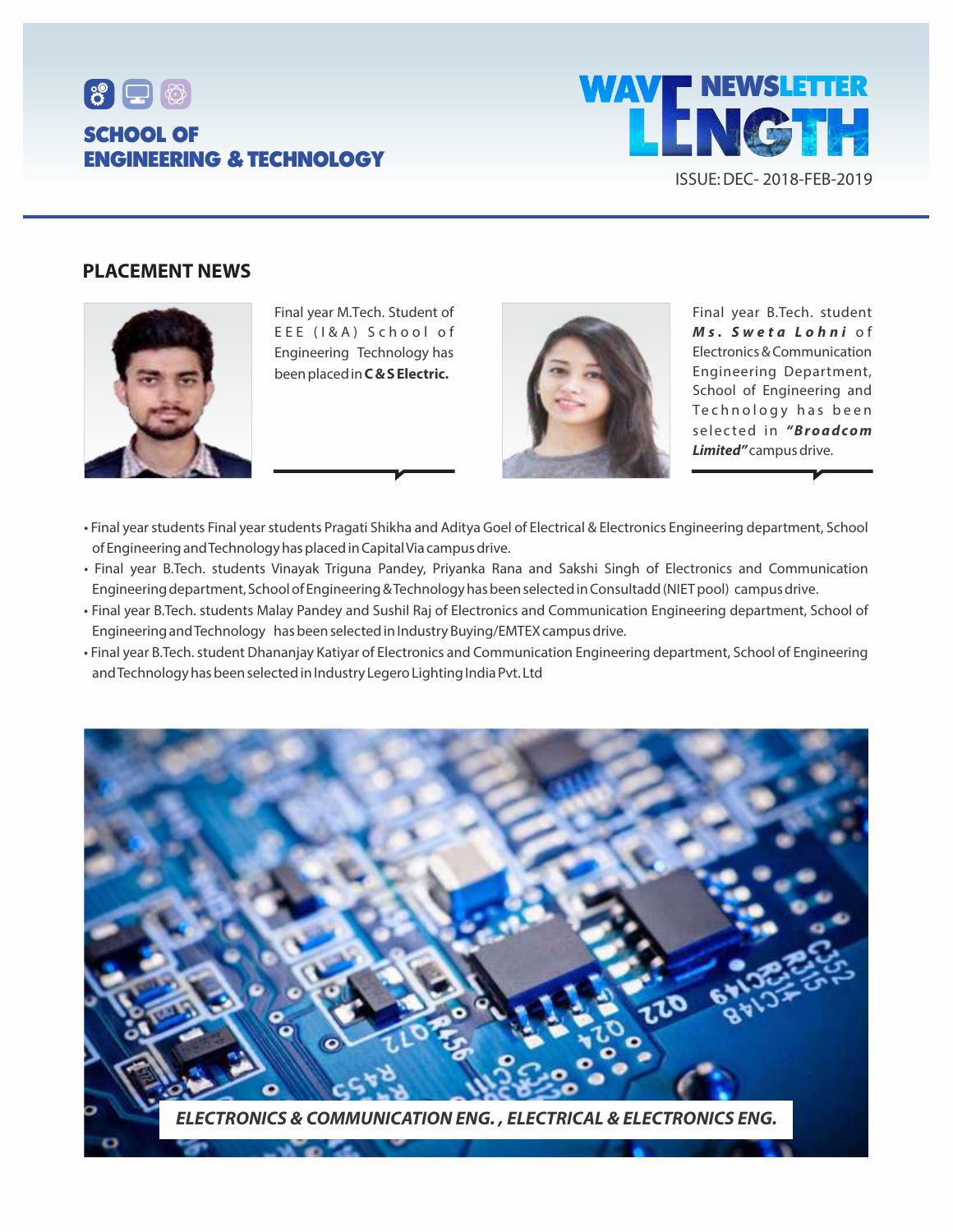



### **PLACEMENT NEWS**



Final year M.Tech. Student of EEE (I&A) School of Engineering Technology has been placed in **C & S Electric.**



Final year B.Tech. student **M s . S w e t a L o h n i** o f Electronics & Communication Engineering Department, School of Engineering and Technology has been selec ted in **"Broadcom Limited"** campus drive.

- Final year students Final year students Pragati Shikha and Aditya Goel of Electrical & Electronics Engineering department, School of Engineering and Technology has placed in Capital Via campus drive.
- Final year B.Tech. students Vinayak Triguna Pandey, Priyanka Rana and Sakshi Singh of Electronics and Communication Engineering department, School of Engineering & Technology has been selected in Consultadd (NIET pool) campus drive.
- Final year B.Tech. students Malay Pandey and Sushil Raj of Electronics and Communication Engineering department, School of Engineering and Technology has been selected in Industry Buying/EMTEX campus drive.
- Final year B.Tech. student Dhananjay Katiyar of Electronics and Communication Engineering department, School of Engineering and Technology has been selected in Industry Legero Lighting India Pvt. Ltd

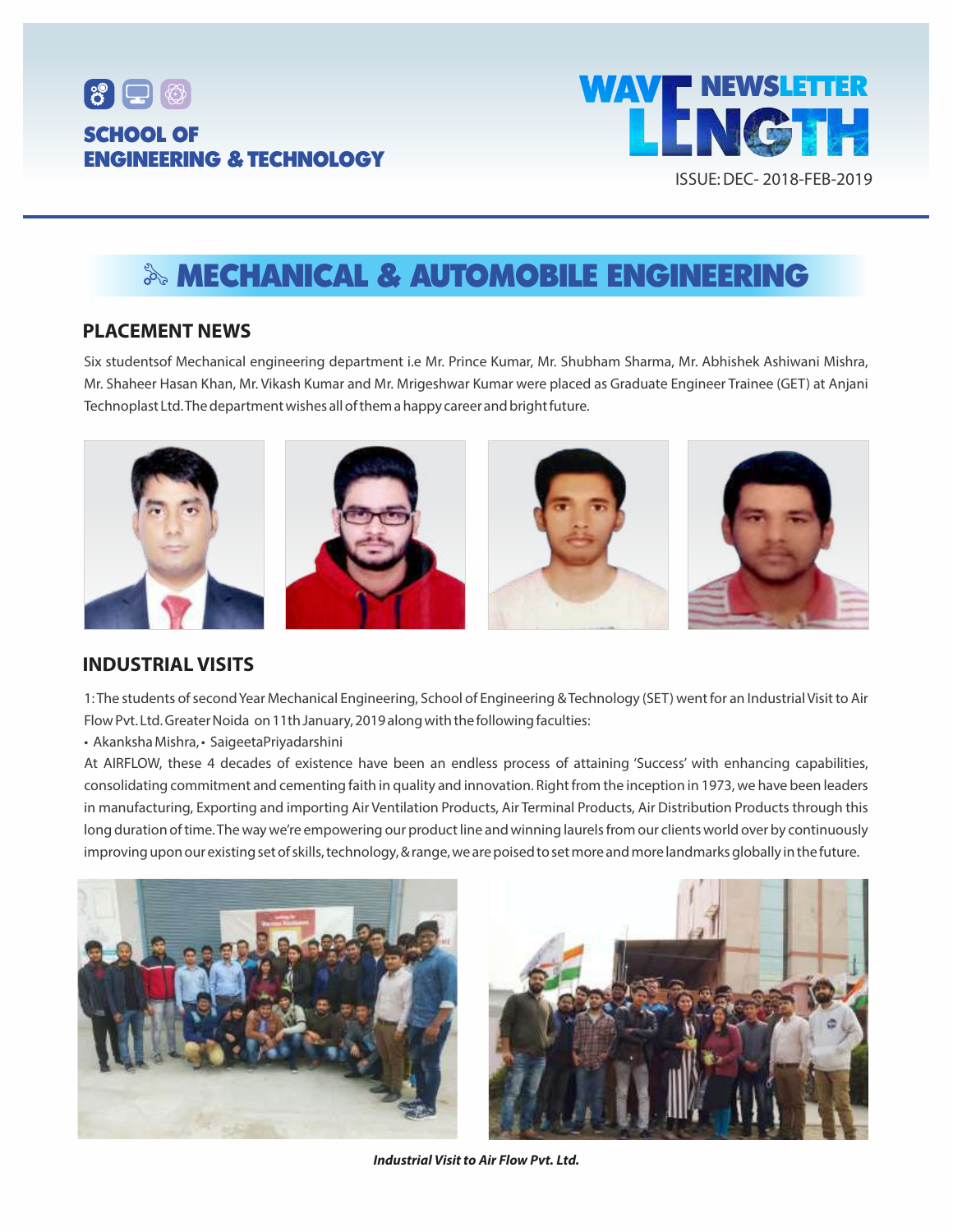



## **EXAMPLE AUTOMOBILE ENGINEERING**

### **PLACEMENT NEWS**

Six studentsof Mechanical engineering department i.e Mr. Prince Kumar, Mr. Shubham Sharma, Mr. Abhishek Ashiwani Mishra, Mr. Shaheer Hasan Khan, Mr. Vikash Kumar and Mr. Mrigeshwar Kumar were placed as Graduate Engineer Trainee (GET) at Anjani Technoplast Ltd. The department wishes all of them a happy career and bright future.



### **INDUSTRIAL VISITS**

1: The students of second Year Mechanical Engineering, School of Engineering & Technology (SET) went for an Industrial Visit to Air Flow Pvt. Ltd. Greater Noida on 11th January, 2019 along with the following faculties:

• Akanksha Mishra, • SaigeetaPriyadarshini

At AIRFLOW, these 4 decades of existence have been an endless process of attaining 'Success' with enhancing capabilities, consolidating commitment and cementing faith in quality and innovation. Right from the inception in 1973, we have been leaders in manufacturing, Exporting and importing Air Ventilation Products, Air Terminal Products, Air Distribution Products through this long duration of time. The way we're empowering our product line and winning laurels from our clients world over by continuously improving upon our existing set of skills, technology, & range, we are poised to set more and more landmarks globally in the future.





**Industrial Visit to Air Flow Pvt. Ltd.**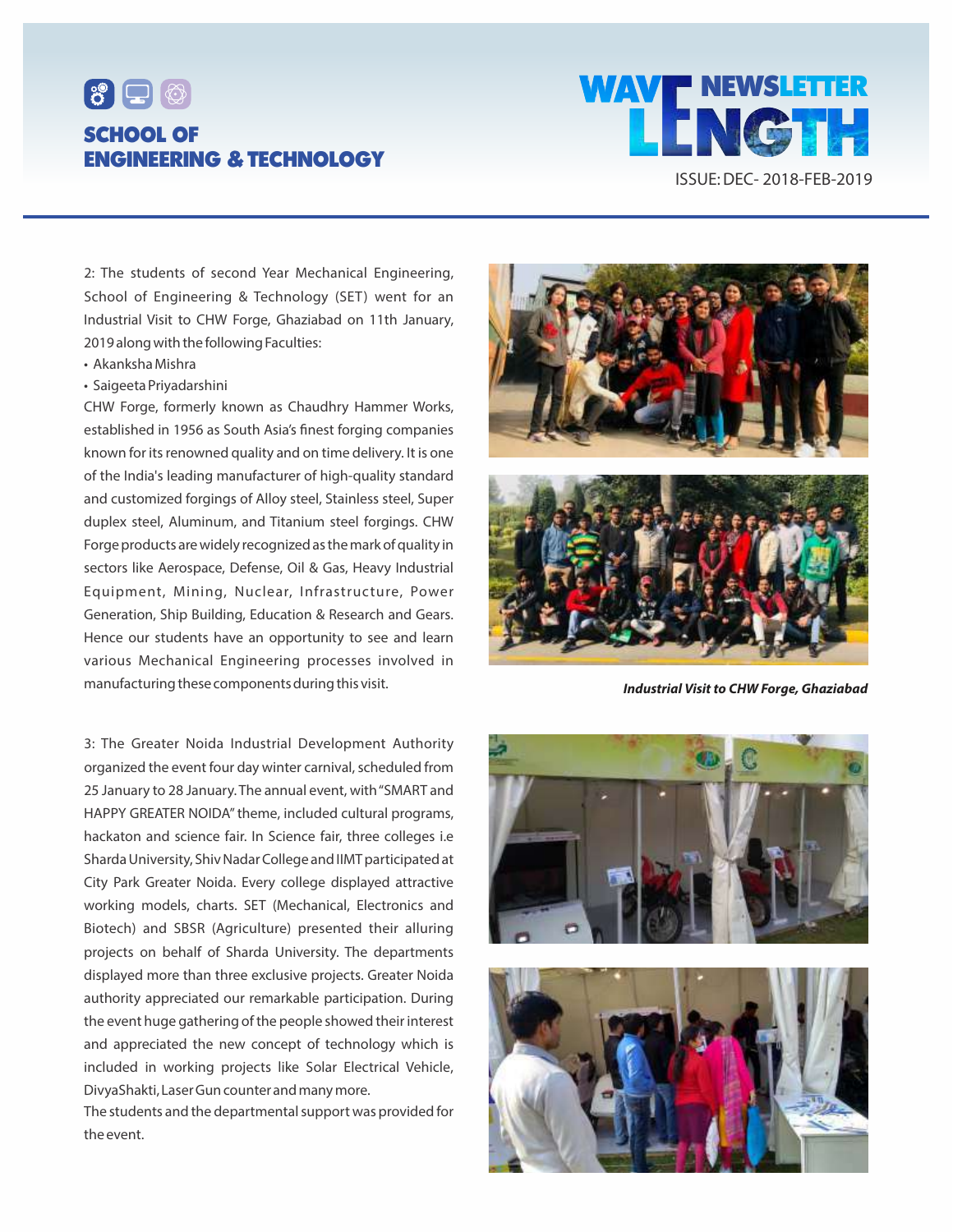



2: The students of second Year Mechanical Engineering, School of Engineering & Technology (SET) went for an Industrial Visit to CHW Forge, Ghaziabad on 11th January, 2019 along with the following Faculties:

- Akanksha Mishra
- Saigeeta Priyadarshini

CHW Forge, formerly known as Chaudhry Hammer Works, established in 1956 as South Asia's finest forging companies known for its renowned quality and on time delivery. It is one of the India's leading manufacturer of high-quality standard and customized forgings of Alloy steel, Stainless steel, Super duplex steel, Aluminum, and Titanium steel forgings. CHW Forge products are widely recognized as the mark of quality in sectors like Aerospace, Defense, Oil & Gas, Heavy Industrial Equipment, Mining, Nuclear, Infrastructure, Power Generation, Ship Building, Education & Research and Gears. Hence our students have an opportunity to see and learn various Mechanical Engineering processes involved in manufacturing these components during this visit. **Industrial Visit to CHW Forge, Ghaziabad** 

3: The Greater Noida Industrial Development Authority organized the event four day winter carnival, scheduled from 25 January to 28 January. The annual event, with "SMART and HAPPY GREATER NOIDA"theme, included cultural programs, hackaton and science fair. In Science fair, three colleges i.e Sharda University, Shiv Nadar College and IIMT participated at City Park Greater Noida. Every college displayed attractive working models, charts. SET (Mechanical, Electronics and Biotech) and SBSR (Agriculture) presented their alluring projects on behalf of Sharda University. The departments displayed more than three exclusive projects. Greater Noida authority appreciated our remarkable participation. During the event huge gathering of the people showed their interest and appreciated the new concept of technology which is included in working projects like Solar Electrical Vehicle, DivyaShakti, Laser Gun counter and many more.

The students and the departmental support was provided for the event.





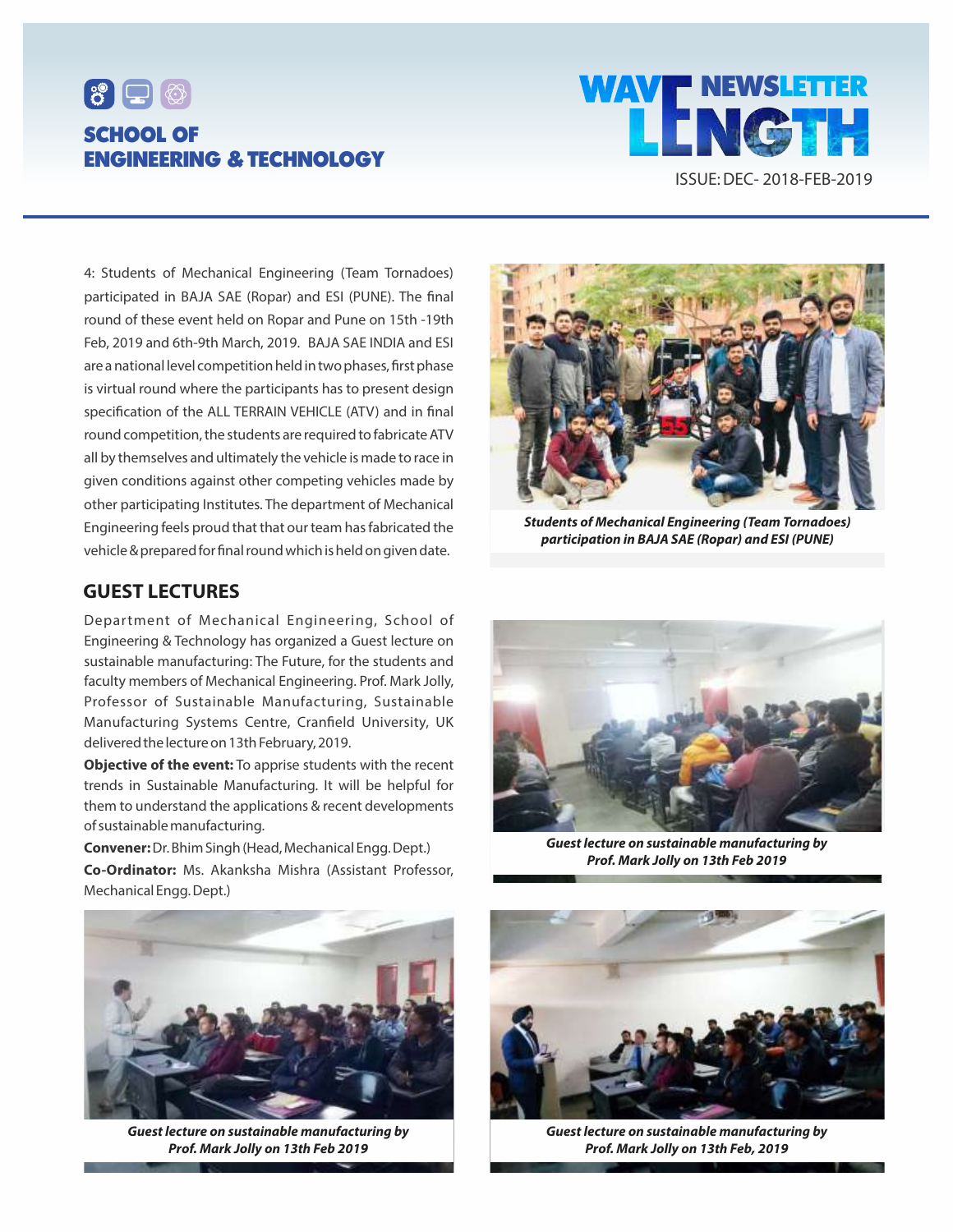



4: Students of Mechanical Engineering (Team Tornadoes) participated in BAJA SAE (Ropar) and ESI (PUNE). The final round of these event held on Ropar and Pune on 15th -19th Feb, 2019 and 6th-9th March, 2019. BAJA SAE INDIA and ESI are a national level competition held in two phases, first phase is virtual round where the participants has to present design specification of the ALL TERRAIN VEHICLE (ATV) and in final round competition, the students are required to fabricate ATV all by themselves and ultimately the vehicle is made to race in given conditions against other competing vehicles made by other participating Institutes. The department of Mechanical Engineering feels proud that that our team has fabricated the vehicle & prepared for final round which is held on given date.

### **GUEST LECTURES**

Department of Mechanical Engineering, School of Engineering & Technology has organized a Guest lecture on sustainable manufacturing: The Future, for the students and faculty members of Mechanical Engineering. Prof. Mark Jolly, Professor of Sustainable Manufacturing, Sustainable Manufacturing Systems Centre, Cranfield University, UK delivered the lecture on 13th February, 2019.

**Objective of the event:** To apprise students with the recent trends in Sustainable Manufacturing. It will be helpful for them to understand the applications & recent developments of sustainable manufacturing.

**Convener:**Dr. Bhim Singh (Head, Mechanical Engg. Dept.) **Co-Ordinator:** Ms. Akanksha Mishra (Assistant Professor, Mechanical Engg. Dept.)



**Students of Mechanical Engineering (Team Tornadoes) participation in BAJA SAE (Ropar) and ESI (PUNE)**



**Guest lecture on sustainable manufacturing by Prof. Mark Jolly on 13th Feb 2019**



**Guest lecture on sustainable manufacturing by Prof. Mark Jolly on 13th Feb 2019**



**Guest lecture on sustainable manufacturing by Prof. Mark Jolly on 13th Feb, 2019**